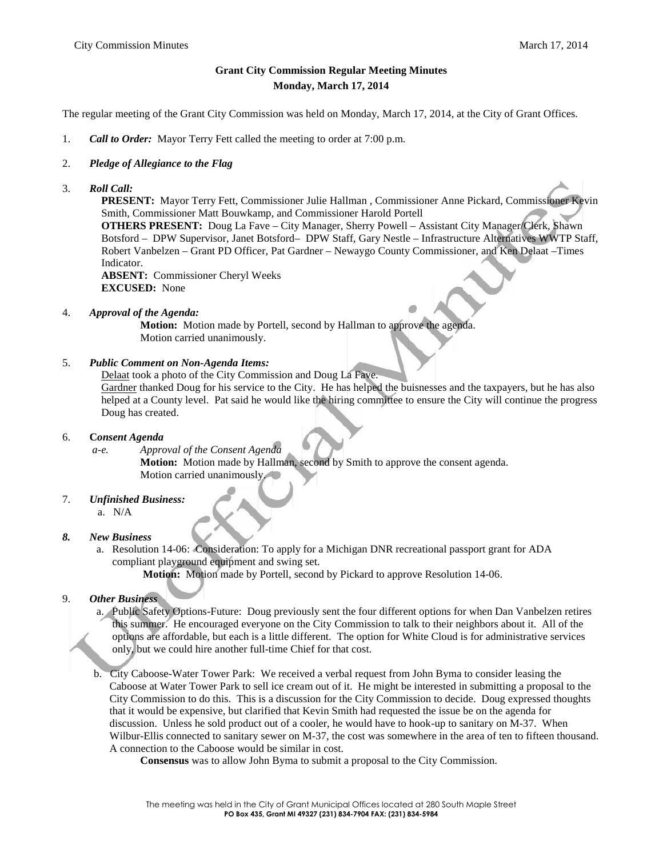# **Grant City Commission Regular Meeting Minutes Monday, March 17, 2014**

The regular meeting of the Grant City Commission was held on Monday, March 17, 2014, at the City of Grant Offices.

1. *Call to Order:* Mayor Terry Fett called the meeting to order at 7:00 p.m.

## 2. *Pledge of Allegiance to the Flag*

3. *Roll Call:*

**PRESENT:** Mayor Terry Fett, Commissioner Julie Hallman , Commissioner Anne Pickard, Commissioner Kevin Smith, Commissioner Matt Bouwkamp, and Commissioner Harold Portell

**OTHERS PRESENT:** Doug La Fave – City Manager, Sherry Powell – Assistant City Manager/Clerk, Shawn Botsford – DPW Supervisor, Janet Botsford– DPW Staff, Gary Nestle – Infrastructure Alternatives WWTP Staff, Robert Vanbelzen – Grant PD Officer, Pat Gardner – Newaygo County Commissioner, and Ken Delaat –Times Indicator.

**ABSENT:** Commissioner Cheryl Weeks **EXCUSED:** None

4. *Approval of the Agenda:*

**Motion:** Motion made by Portell, second by Hallman to approve the agenda. Motion carried unanimously.

## 5. *Public Comment on Non-Agenda Items:*

Delaat took a photo of the City Commission and Doug La Fave.

Gardner thanked Doug for his service to the City. He has helped the buisnesses and the taxpayers, but he has also helped at a County level. Pat said he would like the hiring committee to ensure the City will continue the progress Doug has created.

## 6. **C***onsent Agenda*

*a-e. Approval of the Consent Agenda*

**Motion:** Motion made by Hallman, second by Smith to approve the consent agenda. Motion carried unanimously.

## 7. *Unfinished Business:*

a. N/A

## *8. New Business*

a. Resolution 14-06: Consideration: To apply for a Michigan DNR recreational passport grant for ADA compliant playground equipment and swing set.

**Motion:** Motion made by Portell, second by Pickard to approve Resolution 14-06.

## 9. *Other Business*

- a. Public Safety Options-Future: Doug previously sent the four different options for when Dan Vanbelzen retires this summer. He encouraged everyone on the City Commission to talk to their neighbors about it. All of the options are affordable, but each is a little different. The option for White Cloud is for administrative services only, but we could hire another full-time Chief for that cost.
- b. City Caboose-Water Tower Park: We received a verbal request from John Byma to consider leasing the Caboose at Water Tower Park to sell ice cream out of it. He might be interested in submitting a proposal to the City Commission to do this. This is a discussion for the City Commission to decide. Doug expressed thoughts that it would be expensive, but clarified that Kevin Smith had requested the issue be on the agenda for discussion. Unless he sold product out of a cooler, he would have to hook-up to sanitary on M-37. When Wilbur-Ellis connected to sanitary sewer on M-37, the cost was somewhere in the area of ten to fifteen thousand. A connection to the Caboose would be similar in cost.

**Consensus** was to allow John Byma to submit a proposal to the City Commission.